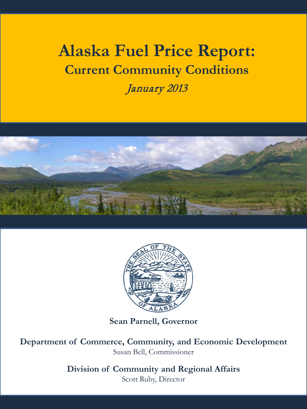# **Alaska Fuel Price Report: Current Community Conditions**

January 2013





**Sean Parnell, Governor**

**Department of Commerce, Community, and Economic Development** Susan Bell, Commissioner

**Division of Community and Regional Affairs**

Scott Ruby, Director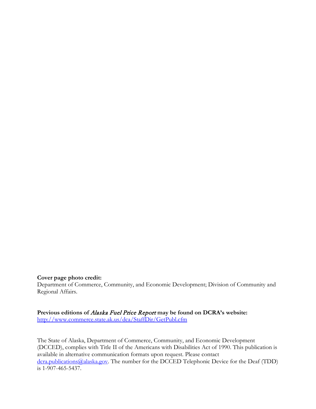#### **Cover page photo credit:**

Department of Commerce, Community, and Economic Development; Division of Community and Regional Affairs.

**Previous editions of** Alaska Fuel Price Report **may be found on DCRA's website:** <http://www.commerce.state.ak.us/dca/StaffDir/GetPubl.cfm>

The State of Alaska, Department of Commerce, Community, and Economic Development (DCCED), complies with Title II of the Americans with Disabilities Act of 1990. This publication is available in alternative communication formats upon request. Please contact [dcra.publications@alaska.gov.](mailto:dcra.publications@alaska.gov) The number for the DCCED Telephonic Device for the Deaf (TDD) is 1-907-465-5437.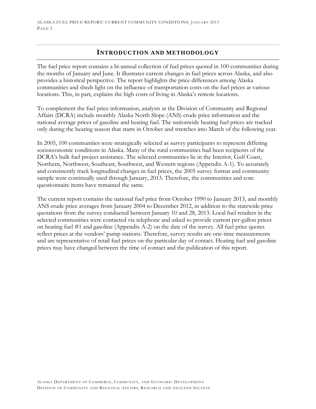## **INTRODUCTION AND METHODOLOGY**

The fuel price report contains a bi-annual collection of fuel prices quoted in 100 communities during the months of January and June. It illustrates current changes in fuel prices across Alaska, and also provides a historical perspective. The report highlights the price differences among Alaska communities and sheds light on the influence of transportation costs on the fuel prices at various locations. This, in part, explains the high costs of living in Alaska's remote locations.

To complement the fuel price information, analysts at the Division of Community and Regional Affairs (DCRA) include monthly Alaska North Slope (ANS) crude price information and the national average prices of gasoline and heating fuel. The nationwide heating fuel prices are tracked only during the heating season that starts in October and stretches into March of the following year.

In 2005, 100 communities were strategically selected as survey participants to represent differing socioeconomic conditions in Alaska. Many of the rural communities had been recipients of the DCRA's bulk fuel project assistance. The selected communities lie in the Interior, Gulf Coast, Northern, Northwest, Southeast, Southwest, and Western regions (Appendix A-1). To accurately and consistently track longitudinal changes in fuel prices, the 2005 survey format and community sample were continually used through January, 2013. Therefore, the communities and core questionnaire items have remained the same.

The current report contains the national fuel price from October 1990 to January 2013, and monthly ANS crude price averages from January 2004 to December 2012, in addition to the statewide price quotations from the survey conducted between January 10 and 28, 2013. Local fuel retailers in the selected communities were contacted via telephone and asked to provide current per-gallon prices on heating fuel #1 and gasoline (Appendix A-2) on the date of the survey. All fuel price quotes reflect prices at the vendors' pump stations. Therefore, survey results are one-time measurements and are representative of retail fuel prices on the particular day of contact. Heating fuel and gasoline prices may have changed between the time of contact and the publication of this report.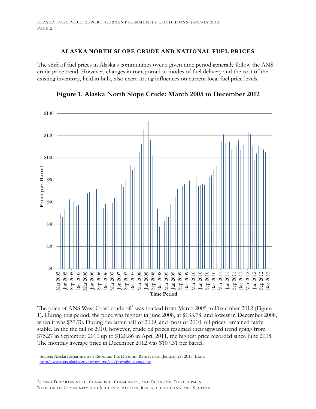#### **ALASKA NORTH SLOPE CRUDE AND NATIONAL FUEL PRICES**

The shift of fuel prices in Alaska's communities over a given time period generally follow the ANS crude price trend. However, changes in transportation modes of fuel delivery and the cost of the existing inventory, held in bulk, also exert strong influences on current local fuel price levels.



**Figure 1. Alaska North Slope Crude: March 2005 to December 2012**

The price of ANS West Coast crude oil<sup>[1](#page-3-0)</sup> was tracked from March 2005 to December 2012 (Figure 1). During this period, the price was highest in June 2008, at \$133.78, and lowest in December 2008, when it was \$37.70. During the latter half of 2009, and most of 2010, oil prices remained fairly stable. In the the fall of 2010, however, crude oil prices resumed their upward trend going from \$75.27 in September 2010 up to \$120.86 in April 2011, the highest price recorded since June 2008. The monthly average price in December 2012 was \$107.31 per barrel.

<span id="page-3-0"></span> <sup>1</sup> Source: Alaska Department of Revenue, Tax Division. Retrieved on January 29, 2013, from: <http://www.tax.alaska.gov/programs/oil/prevailing/ans.aspx>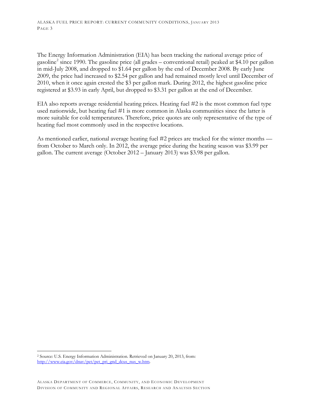The Energy Information Administration (EIA) has been tracking the national average price of gasoline<sup>[2](#page-4-0)</sup> since 1990. The gasoline price (all grades – conventional retail) peaked at \$4.10 per gallon in mid-July 2008, and dropped to \$1.64 per gallon by the end of December 2008. By early June 2009, the price had increased to \$2.54 per gallon and had remained mostly level until December of 2010, when it once again crested the \$3 per gallon mark. During 2012, the highest gasoline price registered at \$3.93 in early April, but dropped to \$3.31 per gallon at the end of December.

EIA also reports average residential heating prices. Heating fuel #2 is the most common fuel type used nationwide, but heating fuel #1 is more common in Alaska communities since the latter is more suitable for cold temperatures. Therefore, price quotes are only representative of the type of heating fuel most commonly used in the respective locations.

As mentioned earlier, national average heating fuel #2 prices are tracked for the winter months from October to March only. In 2012, the average price during the heating season was \$3.99 per gallon. The current average (October 2012 – January 2013) was \$3.98 per gallon.

<span id="page-4-0"></span> <sup>2</sup> Source: U.S. Energy Information Administration. Retrieved on January 20, 2013, from: [http://www.eia.gov/dnav/pet/pet\\_pri\\_gnd\\_dcus\\_nus\\_w.htm.](http://www.eia.gov/dnav/pet/pet_pri_gnd_dcus_nus_w.htm)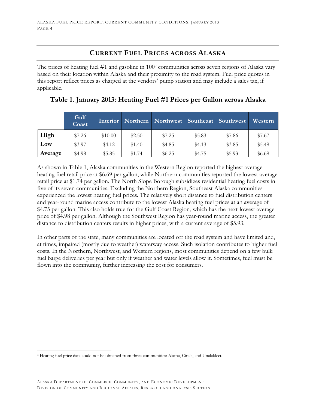## **CURRENT FUEL PRICES ACROSS ALASKA**

The prices of heating fuel  $#1$  and gasoline in  $100<sup>3</sup>$  $100<sup>3</sup>$  $100<sup>3</sup>$  communities across seven regions of Alaska vary based on their location within Alaska and their proximity to the road system. Fuel price quotes in this report reflect prices as charged at the vendors' pump station and may include a sales tax, if applicable.

|         | Gulf<br>Coast |         |        | Interior Northern Northwest Southeast Southwest |        |        | Western |
|---------|---------------|---------|--------|-------------------------------------------------|--------|--------|---------|
| High    | \$7.26        | \$10.00 | \$2.50 | \$7.25                                          | \$5.83 | \$7.86 | \$7.67  |
| Low     | \$3.97        | \$4.12  | \$1.40 | \$4.85                                          | \$4.13 | \$3.85 | \$5.49  |
| Average | \$4.98        | \$5.85  | \$1.74 | \$6.25                                          | \$4.75 | \$5.93 | \$6.69  |

## **Table 1. January 2013: Heating Fuel #1 Prices per Gallon across Alaska**

As shown in Table 1, Alaska communities in the Western Region reported the highest average heating fuel retail price at \$6.69 per gallon, while Northern communities reported the lowest average retail price at \$1.74 per gallon. The North Slope Borough subsidizes residential heating fuel costs in five of its seven communities. Excluding the Northern Region, Southeast Alaska communities experienced the lowest heating fuel prices. The relatively short distance to fuel distribution centers and year-round marine access contribute to the lowest Alaska heating fuel prices at an average of \$4.75 per gallon. This also holds true for the Gulf Coast Region, which has the next-lowest average price of \$4.98 per gallon. Although the Southwest Region has year-round marine access, the greater distance to distribution centers results in higher prices, with a current average of \$5.93.

In other parts of the state, many communities are located off the road system and have limited and, at times, impaired (mostly due to weather) waterway access. Such isolation contributes to higher fuel costs. In the Northern, Northwest, and Western regions, most communities depend on a few bulk fuel barge deliveries per year but only if weather and water levels allow it. Sometimes, fuel must be flown into the community, further increasing the cost for consumers.

<span id="page-5-0"></span> <sup>3</sup> Heating fuel price data could not be obtained from three communities: Alatna, Circle, and Unalakleet.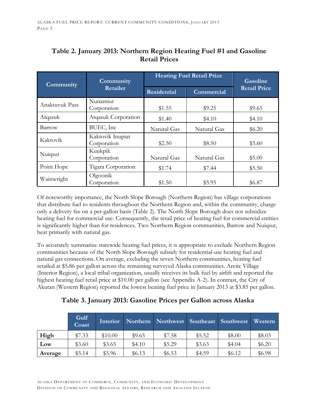| Community      | Community                       | <b>Heating Fuel Retail Price</b> | Gasoline    |                     |
|----------------|---------------------------------|----------------------------------|-------------|---------------------|
|                | Retailer                        | <b>Residential</b>               | Commercial  | <b>Retail Price</b> |
| Anaktuvuk Pass | Nunamiut<br>Corporation         |                                  | \$9.25      | \$9.65              |
| Atqasuk        | Atqasuk Corporation             | \$1.40                           | \$4.10      | \$4.10              |
| Barrow         | BUEC, Inc                       | Natural Gas                      |             | \$6.20              |
| Kaktovik       | Kaktovik Inupiat<br>Corporation | \$2.50                           | \$8.50      | \$5.60              |
| Nuiqsut        | Kuukpik<br>Corporation          | Natural Gas                      | Natural Gas | \$5.00              |
| Point Hope     | Tigara Corporation              | \$1.74                           | \$7.44      | \$5.50              |
| Wainwright     | Olgoonik<br>Corporation         | \$1.50                           | \$5.95      | \$6.87              |

## **Table 2. January 2013: Northern Region Heating Fuel #1 and Gasoline Retail Prices**

Of noteworthy importance, the North Slope Borough (Northern Region) has village corporations that distribute fuel to residents throughout the Northern Region and, within the community, charge only a delivery fee on a per-gallon basis (Table 2). The North Slope Borough does not subsidize heating fuel for commercial use. Consequently, the retail price of heating fuel for commercial entities is significantly higher than for residences. Two Northern Region communities, Barrow and Nuiqsut, heat primarily with natural gas.

To accurately summarize statewide heating fuel prices, it is appropriate to exclude Northern Region communities because of the North Slope Borough subsidy for residential-use heating fuel and natural gas connections. On average, excluding the seven Northern communities, heating fuel retailed at \$5.86 per gallon across the remaining surveyed Alaska communities. Arctic Village (Interior Region), a local tribal organization, usually receives its bulk fuel by airlift and reported the highest heating fuel retail price at \$10.00 per gallon (see Appendix A-2). In contrast, the City of Akutan (Western Region) reported the lowest heating fuel price in January 2013 at \$3.85 per gallon.

**Table 3. January 2013: Gasoline Prices per Gallon across Alaska**

|         | Gulf<br>Coast | Interior |        | Northern Northwest Southeast Southwest Western |        |        |        |
|---------|---------------|----------|--------|------------------------------------------------|--------|--------|--------|
| High    | \$7.33        | \$10.00  | \$9.65 | \$7.58                                         | \$5.52 | \$8.00 | \$8.03 |
| Low     | \$3.60        | \$3.65   | \$4.10 | \$5.29                                         | \$3.63 | \$4.04 | \$6.20 |
| Average | \$5.14        | \$5.96   | \$6.13 | \$6.53\$                                       | \$4.59 | \$6.12 | \$6.98 |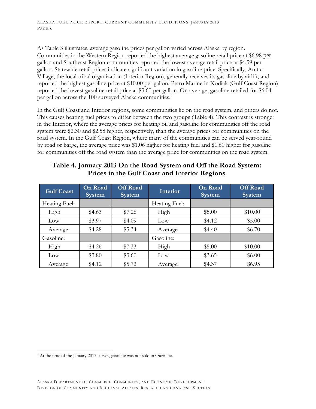As Table 3 illustrates, average gasoline prices per gallon varied across Alaska by region. Communities in the Western Region reported the highest average gasoline retail price at \$6.98 per gallon and Southeast Region communities reported the lowest average retail price at \$4.59 per gallon. Statewide retail prices indicate significant variation in gasoline price. Specifically, Arctic Village, the local tribal organization (Interior Region), generally receives its gasoline by airlift, and reported the highest gasoline price at \$10.00 per gallon. Petro Marine in Kodiak (Gulf Coast Region) reported the lowest gasoline retail price at \$3.60 per gallon. On average, gasoline retailed for \$6.04 per gallon across the 100 surveyed Alaska communities.<sup>[4](#page-7-0)</sup>

In the Gulf Coast and Interior regions, some communities lie on the road system, and others do not. This causes heating fuel prices to differ between the two groups (Table 4). This contrast is stronger in the Interior, where the average prices for heating oil and gasoline for communities off the road system were \$2.30 and \$2.58 higher, respectively, than the average prices for communities on the road system. In the Gulf Coast Region, where many of the communities can be served year-round by road or barge, the average price was \$1.06 higher for heating fuel and \$1.60 higher for gasoline for communities off the road system than the average price for communities on the road system.

## **Table 4. January 2013 On the Road System and Off the Road System: Prices in the Gulf Coast and Interior Regions**

| <b>Gulf Coast</b> | <b>On Road</b><br><b>System</b> | <b>Off Road</b><br><b>System</b> | <b>Interior</b> | <b>On Road</b><br><b>System</b> | <b>Off Road</b><br><b>System</b> |
|-------------------|---------------------------------|----------------------------------|-----------------|---------------------------------|----------------------------------|
| Heating Fuel:     |                                 |                                  | Heating Fuel:   |                                 |                                  |
| High              | \$4.63                          | \$7.26                           | High            | \$5.00                          | \$10.00                          |
| $_{\text{Low}}$   | \$3.97                          | \$4.09                           | Low             | \$4.12                          | \$5.00                           |
| Average           | \$4.28                          | \$5.34                           | Average         | \$4.40                          | \$6.70                           |
| Gasoline:         |                                 |                                  | Gasoline:       |                                 |                                  |
| High              | \$4.26                          | \$7.33                           | High            | \$5.00                          | \$10.00                          |
| Low               | \$3.80                          | \$3.60                           | Low             | \$3.65                          | \$6.00                           |
| Average           | \$4.12                          | \$5.72                           | Average         | \$4.37                          | \$6.95                           |

<span id="page-7-0"></span> <sup>4</sup> At the time of the January 2013 survey, gasoline was not sold in Ouzinkie.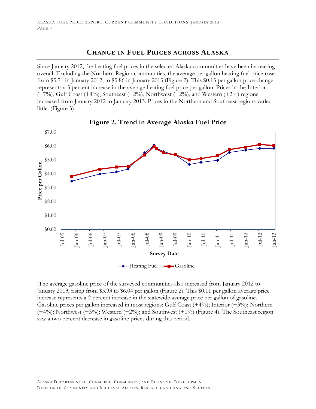## **CHANGE IN FUEL PRICES ACROSS ALASKA**

Since January 2012, the heating fuel prices in the selected Alaska communities have been increasing overall. Excluding the Northern Region communities, the average per gallon heating fuel price rose from \$5.71 in January 2012, to \$5.86 in January 2013 (Figure 2). This \$0.15 per gallon price change represents a 3 percent increase in the average heating fuel price per gallon. Prices in the Interior  $(+7%)$ , Gulf Coast  $(+4%)$ , Southeast  $(+2%)$ , Northwest  $(+2%)$ , and Western  $(+2%)$  regions increased from January 2012 to January 2013. Prices in the Northern and Southeast regions varied little. (Figure 3).





The average gasoline price of the surveyed communities also increased from January 2012 to January 2013, rising from \$5.93 to \$6.04 per gallon (Figure 2). This \$0.11 per gallon average price increase represents a 2 percent increase in the statewide average price per gallon of gasoline. Gasoline prices per gallon increased in most regions: Gulf Coast (+4%); Interior (+3%); Northern  $(+4%)$ ; Northwest  $(+3%)$ ; Western  $(+2%)$ ; and Southwest  $(+1%)$  (Figure 4). The Southeast region saw a two percent decrease in gasoline prices during this period.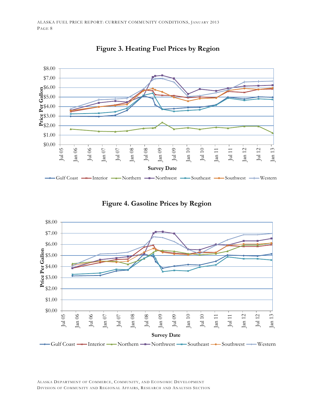

**Figure 3. Heating Fuel Prices by Region**



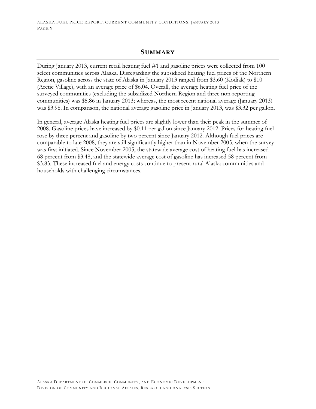### **SUMMARY**

During January 2013, current retail heating fuel #1 and gasoline prices were collected from 100 select communities across Alaska. Disregarding the subsidized heating fuel prices of the Northern Region, gasoline across the state of Alaska in January 2013 ranged from \$3.60 (Kodiak) to \$10 (Arctic Village), with an average price of \$6.04. Overall, the average heating fuel price of the surveyed communities (excluding the subsidized Northern Region and three non-reporting communities) was \$5.86 in January 2013; whereas, the most recent national average (January 2013) was \$3.98. In comparison, the national average gasoline price in January 2013, was \$3.32 per gallon.

In general, average Alaska heating fuel prices are slightly lower than their peak in the summer of 2008. Gasoline prices have increased by \$0.11 per gallon since January 2012. Prices for heating fuel rose by three percent and gasoline by two percent since January 2012. Although fuel prices are comparable to late 2008, they are still significantly higher than in November 2005, when the survey was first initiated. Since November 2005, the statewide average cost of heating fuel has increased 68 percent from \$3.48, and the statewide average cost of gasoline has increased 58 percent from \$3.83. These increased fuel and energy costs continue to present rural Alaska communities and households with challenging circumstances.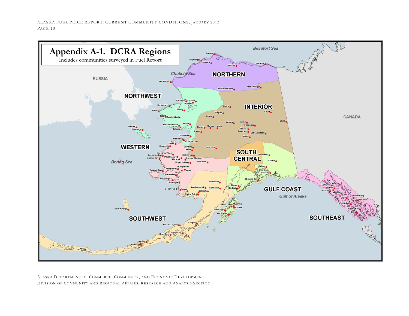

ALASKA DEPARTMENT OF COMMERCE, COMMUNITY, AND ECONOMIC DEVELOPMENT DIVISION OF COMMUNITY AND REGIONAL AFFAIRS, RESEARCH AND ANALYSIS SECTION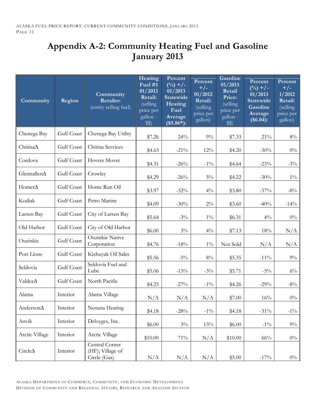## **Appendix A-2: Community Heating Fuel and Gasoline January 2013**

| Community           | Region     | Community<br>Retailer:<br>(entity selling fuel)    | Heating<br>Fuel $#1$<br>01/2013<br>Retail:<br>(selling<br>price per<br>gallon -<br>\$\$) | Percent<br>$(^{0}/_{0})$ +/-<br>01/2013<br><b>Statewide</b><br>Heating<br>Fuel<br>Average<br>$($5.86*)$ : | Percent<br>$+/-$<br>01/2012<br>Retail:<br>(selling<br>price per<br>gallon) | <b>Gasoline</b><br>01/2013<br>Retail<br>Price:<br>$\sqrt{\text{celling}}$<br>price per<br>gallon -<br>\$\$) | Percent<br>$(^{0}/_{0})$ +/-<br>01/2013<br><b>Statewide</b><br><b>Gasoline</b><br>Average<br>(\$6.04): | Percent<br>$+/-$<br>1/2012<br>Retail:<br>(selling<br>price per<br>gallon) |
|---------------------|------------|----------------------------------------------------|------------------------------------------------------------------------------------------|-----------------------------------------------------------------------------------------------------------|----------------------------------------------------------------------------|-------------------------------------------------------------------------------------------------------------|--------------------------------------------------------------------------------------------------------|---------------------------------------------------------------------------|
| Chenega Bay         | Gulf Coast | Chenega Bay Utility                                | \$7.26                                                                                   | 24%                                                                                                       | 9%                                                                         | \$7.33                                                                                                      | $21\%$                                                                                                 | $8\%$                                                                     |
| Chitina∆            | Gulf Coast | Chitina Services                                   | \$4.63                                                                                   | $-21\%$                                                                                                   | 12%                                                                        | \$4.20                                                                                                      | $-30%$                                                                                                 | $0\%$                                                                     |
| Cordova             | Gulf Coast | Hovers Mover                                       | \$4.31                                                                                   | $-26%$                                                                                                    | $-1\%$                                                                     | \$4.64                                                                                                      | $-23%$                                                                                                 | $-3\%$                                                                    |
| Glennallen $\Delta$ | Gulf Coast | Crowley                                            | \$4.29                                                                                   | $-26%$                                                                                                    | $5\%$                                                                      | \$4.22                                                                                                      | $-30%$                                                                                                 | $1\%$                                                                     |
| Homer∆              | Gulf Coast | Home Run Oil                                       | \$3.97                                                                                   | $-32%$                                                                                                    | $4\%$                                                                      | \$3.80                                                                                                      | $-37\%$                                                                                                | $-8\%$                                                                    |
| Kodiak              | Gulf Coast | Petro Marine                                       | \$4.09                                                                                   | $-30%$                                                                                                    | $2\%$                                                                      | \$3.60                                                                                                      | $-40%$                                                                                                 | $-14\%$                                                                   |
| Larsen Bay          | Gulf Coast | City of Larsen Bay                                 | \$5.64                                                                                   | $-3\%$                                                                                                    | $1\%$                                                                      | \$6.31                                                                                                      | $4\%$                                                                                                  | $0\%$                                                                     |
| Old Harbor          | Gulf Coast | City of Old Harbor                                 | \$6.00                                                                                   | $3\%$                                                                                                     | $4\%$                                                                      | \$7.13                                                                                                      | 18%                                                                                                    | N/A                                                                       |
| Ouzinkie            | Gulf Coast | <b>Ouzinkie Native</b><br>Corporation              | \$4.76                                                                                   | $-18%$                                                                                                    | $1\%$                                                                      | Not Sold                                                                                                    | N/A                                                                                                    | N/A                                                                       |
| Port Lions          | Gulf Coast | Kizhuyak Oil Sales                                 | \$5.56                                                                                   | $-5\%$                                                                                                    | $8\%$                                                                      | \$5.35                                                                                                      | $-11\%$                                                                                                | $9\%$                                                                     |
| Seldovia            | Gulf Coast | Seldovia Fuel and<br>Lube                          | \$5.06                                                                                   | $-13%$                                                                                                    | $-3\%$                                                                     | \$5.71                                                                                                      | $-5\%$                                                                                                 | $6\%$                                                                     |
| Valdez $\Delta$     | Gulf Coast | North Pacific                                      | \$4.25                                                                                   | $-27\%$                                                                                                   | $-1\%$                                                                     | \$4.26                                                                                                      | $-29%$                                                                                                 | $-8\%$                                                                    |
| Alatna              | Interior   | Alatna Village                                     | N/A                                                                                      | N/A                                                                                                       | N/A                                                                        | \$7.00                                                                                                      | 16%                                                                                                    | $0\%$                                                                     |
| $Anderson\Delta$    | Interior   | Nenana Heating                                     | \$4.18                                                                                   | $-28%$                                                                                                    | $-1\%$                                                                     | \$4.18                                                                                                      | $-31\%$                                                                                                | $-1\%$                                                                    |
| Anvik               | Interior   | Deloyges, Inc.                                     | \$6.00                                                                                   | $3\%$                                                                                                     | 13%                                                                        | \$6.00                                                                                                      | $-1\%$                                                                                                 | $9\%$                                                                     |
| Arctic Village      | Interior   | Arctic Village                                     | \$10.00                                                                                  | $71\%$                                                                                                    | N/A                                                                        | \$10.00                                                                                                     | 66%                                                                                                    | $0\%$                                                                     |
| Circle $\Delta$     | Interior   | Central Corner<br>(HF); Village of<br>Circle (Gas) | N/A                                                                                      | N/A                                                                                                       | N/A                                                                        | \$5.00                                                                                                      | $-17\%$                                                                                                | $0\%$                                                                     |

ALASKA DEPARTMENT OF COMMERCE, COMMUNITY, AND ECONOMIC DEVELOPMENT DIVISION OF COMMUNITY AND REGIONAL AFFAIRS, RESEARCH AND ANALYSIS SECTION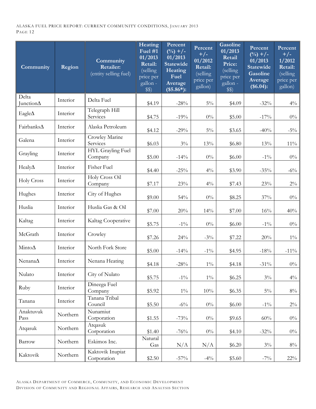| Community          | Region   | Community<br><b>Retailer:</b><br>(entity selling fuel) | Heating<br>Fuel $#1$<br>01/2013<br>Retail:<br>(selling<br>price per<br>gallon -<br>\$\$) | Percent<br>$\binom{0}{0}$ +/-<br>01/2013<br><b>Statewide</b><br>Heating<br>Fuel<br>Average<br>$($5.86*)$ : | Percent<br>$+/-$<br>01/2012<br>Retail:<br>(selling<br>price per<br>gallon) | <b>Gasoline</b><br>01/2013<br>Retail<br>Price:<br>(selling<br>price per<br>gallon -<br>\$\$) | Percent<br>$(^{0}/_{0})$ +/-<br>01/2013<br>Statewide<br>Gasoline<br>Average<br>(\$6.04): | Percent<br>$+/-$<br>1/2012<br>Retail:<br>(selling<br>price per<br>gallon) |
|--------------------|----------|--------------------------------------------------------|------------------------------------------------------------------------------------------|------------------------------------------------------------------------------------------------------------|----------------------------------------------------------------------------|----------------------------------------------------------------------------------------------|------------------------------------------------------------------------------------------|---------------------------------------------------------------------------|
| Delta<br>Junction∆ | Interior | Delta Fuel                                             | \$4.19                                                                                   | $-28%$                                                                                                     | $5\%$                                                                      | \$4.09                                                                                       | $-32%$                                                                                   | $4\%$                                                                     |
| Eagle $\Delta$     | Interior | Telegraph Hill<br>Services                             | \$4.75                                                                                   | $-19%$                                                                                                     | $0\%$                                                                      | \$5.00                                                                                       | $-17\%$                                                                                  | $0\%$                                                                     |
| Fairbanks∆         | Interior | Alaska Petroleum                                       | \$4.12                                                                                   | $-29%$                                                                                                     | $5\%$                                                                      | \$3.65                                                                                       | $-40%$                                                                                   | $-5\%$                                                                    |
| Galena             | Interior | Crowley Marine<br>Services                             | \$6.03\$                                                                                 | $3\%$                                                                                                      | 13%                                                                        | \$6.80                                                                                       | 13%                                                                                      | $11\%$                                                                    |
| Grayling           | Interior | HYL Grayling Fuel<br>Company                           | \$5.00                                                                                   | $-14%$                                                                                                     | $0\%$                                                                      | \$6.00                                                                                       | $-1\%$                                                                                   | $0\%$                                                                     |
| Healy $\Delta$     | Interior | Fisher Fuel                                            | \$4.40                                                                                   | $-25%$                                                                                                     | $4\%$                                                                      | \$3.90                                                                                       | $-35%$                                                                                   | $-6\%$                                                                    |
| Holy Cross         | Interior | Holy Cross Oil<br>Company                              | \$7.17                                                                                   | $23\%$                                                                                                     | $4\%$                                                                      | \$7.43                                                                                       | 23%                                                                                      | $2\%$                                                                     |
| Hughes             | Interior | City of Hughes                                         | \$9.00                                                                                   | $54\%$                                                                                                     | $0\%$                                                                      | \$8.25                                                                                       | 37%                                                                                      | $0\%$                                                                     |
| Huslia             | Interior | Huslia Gas & Oil                                       | \$7.00                                                                                   | 20%                                                                                                        | 14%                                                                        | \$7.00                                                                                       | 16%                                                                                      | 40%                                                                       |
| Kaltag             | Interior | Kaltag Cooperative                                     | \$5.75                                                                                   | $-1\%$                                                                                                     | $0\%$                                                                      | \$6.00                                                                                       | $-1\%$                                                                                   | $0\%$                                                                     |
| McGrath            | Interior | Crowley                                                | \$7.26                                                                                   | 24%                                                                                                        | $-3\%$                                                                     | \$7.22                                                                                       | $20\%$                                                                                   | $1\%$                                                                     |
| Minto $\Delta$     | Interior | North Fork Store                                       | \$5.00                                                                                   | $-14%$                                                                                                     | $-1\%$                                                                     | \$4.95                                                                                       | $-18%$                                                                                   | $-11\%$                                                                   |
| Nenana $\Delta$    | Interior | Nenana Heating                                         | \$4.18                                                                                   | $-28%$                                                                                                     | $1\%$                                                                      | \$4.18                                                                                       | $-31\%$                                                                                  | $0\%$                                                                     |
| Nulato             | Interior | City of Nulato                                         | \$5.75                                                                                   | $-1\%$                                                                                                     | $1\%$                                                                      | \$6.25                                                                                       | $3\%$                                                                                    | $4\%$                                                                     |
| Ruby               | Interior | Dineega Fuel<br>Company                                | \$5.92                                                                                   | $1\%$                                                                                                      | 10%                                                                        | \$6.35                                                                                       | $5\%$                                                                                    | $8\%$                                                                     |
| Tanana             | Interior | Tanana Tribal<br>Council                               | \$5.50                                                                                   | $-6\%$                                                                                                     | $0\%$                                                                      | \$6.00                                                                                       | $-1\%$                                                                                   | $2\%$                                                                     |
| Anaktuvuk<br>Pass  | Northern | Nunamiut<br>Corporation                                | \$1.55                                                                                   | $-73%$                                                                                                     | $0\%$                                                                      | \$9.65                                                                                       | 60%                                                                                      | $0\%$                                                                     |
| Atqasuk            | Northern | Atqasuk<br>Corporation                                 | \$1.40                                                                                   | $-76%$                                                                                                     | $0\%$                                                                      | \$4.10                                                                                       | $-32%$                                                                                   | $0\%$                                                                     |
| Barrow             | Northern | Eskimos Inc.                                           | Natural<br>Gas                                                                           | N/A                                                                                                        | N/A                                                                        | \$6.20                                                                                       | $3\%$                                                                                    | $8\%$                                                                     |
| Kaktovik           | Northern | Kaktovik Inupiat<br>Corporation                        | \$2.50                                                                                   | $-57\%$                                                                                                    | $-4\%$                                                                     | \$5.60                                                                                       | $-7\%$                                                                                   | 22%                                                                       |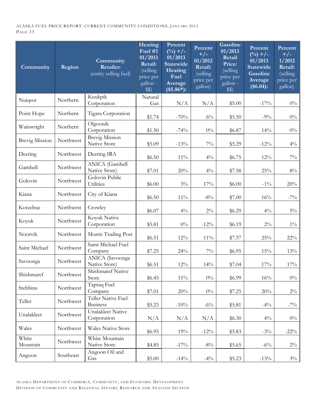| Community             | Region    | Community<br><b>Retailer:</b><br>(entity selling fuel) | Heating<br>Fuel #1<br>01/2013<br>Retail:<br>(selling<br>price per<br>gallon -<br>\$\$) | Percent<br>$(^{0}/_{0})$ +/-<br>01/2013<br><b>Statewide</b><br>Heating<br>Fuel<br>Average<br>$($5.86*)$ : | Percent<br>$+/-$<br>01/2012<br>Retail:<br>(selling<br>price per<br>gallon) | Gasoline<br>01/2013<br>Retail<br>Price:<br>(selling)<br>price per<br>gallon -<br>\$\$) | Percent<br>$(\sqrt[0]{0}) + \sqrt{-}$<br>01/2013<br><b>Statewide</b><br><b>Gasoline</b><br>Average<br>(\$6.04): | Percent<br>$+/-$<br>1/2012<br>Retail:<br>(selling<br>price per<br>gallon) |
|-----------------------|-----------|--------------------------------------------------------|----------------------------------------------------------------------------------------|-----------------------------------------------------------------------------------------------------------|----------------------------------------------------------------------------|----------------------------------------------------------------------------------------|-----------------------------------------------------------------------------------------------------------------|---------------------------------------------------------------------------|
| Nuiqsut               | Northern  | Kuukpik<br>Corporation                                 | Natural<br>Gas                                                                         | N/A                                                                                                       | N/A                                                                        | \$5.00                                                                                 | $-17\%$                                                                                                         | $0\%$                                                                     |
| Point Hope            | Northern  | Tigara Corporation                                     | \$1.74                                                                                 | $-70%$                                                                                                    | $6\%$                                                                      | \$5.50                                                                                 | $-9\%$                                                                                                          | $0\%$                                                                     |
| Wainwright            | Northern  | Olgoonik<br>Corporation                                | \$1.50                                                                                 | $-74%$                                                                                                    | $0\%$                                                                      | \$6.87                                                                                 | 14%                                                                                                             | $0\%$                                                                     |
| <b>Brevig Mission</b> | Northwest | <b>Brevig Mission</b><br>Native Store                  | \$5.09                                                                                 | $-13%$                                                                                                    | $7\%$                                                                      | \$5.29                                                                                 | $-12%$                                                                                                          | $4\%$                                                                     |
| Deering               | Northwest | Deering IRA                                            | \$6.50                                                                                 | $11\%$                                                                                                    | $4\%$                                                                      | \$6.75                                                                                 | $12\%$                                                                                                          | $7\%$                                                                     |
| Gambell               | Northwest | <b>ANICA</b> (Gambell<br>Native Store)                 | \$7.01                                                                                 | $20\%$                                                                                                    | $4\%$                                                                      | \$7.58                                                                                 | 25%                                                                                                             | $8\%$                                                                     |
| Golovin               | Northwest | Golovin Public<br>Utilities                            | \$6.00                                                                                 | $3\%$                                                                                                     | 17%                                                                        | \$6.00                                                                                 | $-1\%$                                                                                                          | 20%                                                                       |
| Kiana                 | Northwest | City of Kiana                                          | \$6.50                                                                                 | $11\%$                                                                                                    | $-8\%$                                                                     | \$7.00                                                                                 | 16%                                                                                                             | $-7\%$                                                                    |
| Kotzebue              | Northwest | Crowley                                                | \$6.07                                                                                 | $4\%$                                                                                                     | $2\%$                                                                      | \$6.29                                                                                 | $4\%$                                                                                                           | $5\%$                                                                     |
| Koyuk                 | Northwest | Koyuk Native<br>Corporation                            | \$5.81                                                                                 | $0\%$                                                                                                     | $-12%$                                                                     | \$6.19                                                                                 | $2\%$                                                                                                           | $1\%$                                                                     |
| Noorvik               | Northwest | Morris Trading Post                                    | \$6.51                                                                                 | $12\%$                                                                                                    | $11\%$                                                                     | \$7.57                                                                                 | $25\%$                                                                                                          | $22\%$                                                                    |
| Saint Michael         | Northwest | Saint Michael Fuel<br>Company                          | \$7.25                                                                                 | 24%                                                                                                       | $7\%$                                                                      | \$6.95                                                                                 | 15%                                                                                                             | 13%                                                                       |
| Savoonga              | Northwest | ANICA (Savoonga<br>Native Store)                       | \$6.51                                                                                 | $12\%$                                                                                                    | 14%                                                                        | \$7.04                                                                                 | 17%                                                                                                             | 17%                                                                       |
| Shishmaref            | Northwest | Shishmaref Native<br>Store                             | \$6.45                                                                                 | $11\%$                                                                                                    | $0\%$                                                                      | \$6.99                                                                                 | $16\%$                                                                                                          | $0\%$                                                                     |
| Stebbins              | Northwest | Tapraq Fuel<br>Company                                 | \$7.01                                                                                 | 20%                                                                                                       | $0\%$                                                                      | \$7.25                                                                                 | 20%                                                                                                             | $2\%$                                                                     |
| Teller                | Northwest | Teller Native Fuel<br><b>Business</b>                  | \$5.23                                                                                 | $-10%$                                                                                                    | $-6\%$                                                                     | \$5.81                                                                                 | $-4\%$                                                                                                          | $-7\%$                                                                    |
| Unalakleet            | Northwest | Unalakleet Native<br>Corporation                       | N/A                                                                                    | N/A                                                                                                       | N/A                                                                        | \$6.30                                                                                 | $4\%$                                                                                                           | $0\%$                                                                     |
| Wales                 | Northwest | <b>Wales Native Store</b>                              | \$6.95                                                                                 | 19%                                                                                                       | $-12%$                                                                     | \$5.83                                                                                 | $-3\%$                                                                                                          | $-22\%$                                                                   |
| White<br>Mountain     | Northwest | White Mountain<br>Native Store                         | \$4.85                                                                                 | $-17\%$                                                                                                   | $-8\%$                                                                     | \$5.65                                                                                 | $-6\%$                                                                                                          | $2\%$                                                                     |
| Angoon                | Southeast | Angoon Oil and<br>Gas                                  | \$5.00                                                                                 | $-14%$                                                                                                    | $-4\%$                                                                     | \$5.23                                                                                 | $-13%$                                                                                                          | $3\%$                                                                     |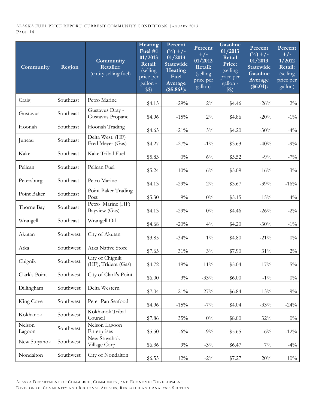| Community        | Region    | Community<br><b>Retailer:</b><br>(entity selling fuel) | Heating<br>Fuel $#1$<br>01/2013<br>Retail:<br>(selling<br>price per<br>gallon -<br>\$\$) | Percent<br>$(^{0}/_{0})$ +/-<br>01/2013<br><b>Statewide</b><br>Heating<br>Fuel<br>Average<br>$($5.86*)$ : | Percent<br>$+/-$<br>01/2012<br>Retail:<br>(selling<br>price per<br>gallon) | <b>Gasoline</b><br>01/2013<br>Retail<br>Price:<br>(selling<br>price per<br>gallon -<br>\$\$) | Percent<br>$(^{0}/_{0})$ +/-<br>01/2013<br>Statewide<br><b>Gasoline</b><br>Average<br>(\$6.04): | Percent<br>$+/-$<br>1/2012<br>Retail:<br>(selling<br>price per<br>gallon) |
|------------------|-----------|--------------------------------------------------------|------------------------------------------------------------------------------------------|-----------------------------------------------------------------------------------------------------------|----------------------------------------------------------------------------|----------------------------------------------------------------------------------------------|-------------------------------------------------------------------------------------------------|---------------------------------------------------------------------------|
| Craig            | Southeast | Petro Marine                                           | \$4.13                                                                                   | $-29%$                                                                                                    | $2\%$                                                                      | \$4.46                                                                                       | $-26%$                                                                                          | $2\%$                                                                     |
| Gustavus         | Southeast | Gustavus Dray -<br>Gustavus Propane                    | \$4.96                                                                                   | $-15%$                                                                                                    | $2\%$                                                                      | \$4.86                                                                                       | $-20%$                                                                                          | $-1\%$                                                                    |
| Hoonah           | Southeast | Hoonah Trading                                         | \$4.63                                                                                   | $-21\%$                                                                                                   | $3\%$                                                                      | \$4.20                                                                                       | $-30%$                                                                                          | $-4\%$                                                                    |
| Juneau           | Southeast | Delta West. (HF)<br>Fred Meyer (Gas)                   | \$4.27                                                                                   | $-27\%$                                                                                                   | $-1\%$                                                                     | \$3.63                                                                                       | $-40%$                                                                                          | $-9\%$                                                                    |
| Kake             | Southeast | Kake Tribal Fuel                                       | \$5.83                                                                                   | $0\%$                                                                                                     | $6\%$                                                                      | \$5.52                                                                                       | $-9\%$                                                                                          | $-7\%$                                                                    |
| Pelican          | Southeast | Pelican Fuel                                           | \$5.24                                                                                   | $-10%$                                                                                                    | $6\%$                                                                      | \$5.09                                                                                       | $-16%$                                                                                          | $3\%$                                                                     |
| Petersburg       | Southeast | Petro Marine                                           | \$4.13                                                                                   | $-29%$                                                                                                    | $2\%$                                                                      | \$3.67                                                                                       | $-39%$                                                                                          | $-16%$                                                                    |
| Point Baker      | Southeast | Point Baker Trading<br>Post                            | \$5.30                                                                                   | $-9\%$                                                                                                    | $0\%$                                                                      | \$5.15                                                                                       | $-15%$                                                                                          | $4\%$                                                                     |
| Thorne Bay       | Southeast | Petro Marine (HF)<br>Bayview (Gas)                     | \$4.13                                                                                   | $-29%$                                                                                                    | $0\%$                                                                      | \$4.46                                                                                       | $-26%$                                                                                          | $-2\%$                                                                    |
| Wrangell         | Southeast | Wrangell Oil                                           | \$4.68                                                                                   | $-20%$                                                                                                    | $4\%$                                                                      | \$4.20                                                                                       | $-30%$                                                                                          | $-1\%$                                                                    |
| Akutan           | Southwest | City of Akutan                                         | \$3.85                                                                                   | $-34%$                                                                                                    | $1\%$                                                                      | \$4.80                                                                                       | $-21\%$                                                                                         | $0\%$                                                                     |
| Atka             | Southwest | Atka Native Store                                      | \$7.65                                                                                   | $31\%$                                                                                                    | $3\%$                                                                      | \$7.90                                                                                       | $31\%$                                                                                          | $2\%$                                                                     |
| Chignik          | Southwest | City of Chignik<br>(HF); Trident (Gas)                 | \$4.72                                                                                   | $-19%$                                                                                                    | 11%                                                                        | \$5.04                                                                                       | $-17\%$                                                                                         | $5\%$                                                                     |
| Clark's Point    | Southwest | City of Clark's Point                                  | \$6.00                                                                                   | $3\%$                                                                                                     | $-33%$                                                                     | \$6.00                                                                                       | $-1\%$                                                                                          | $0\%$                                                                     |
| Dillingham       | Southwest | Delta Western                                          | \$7.04                                                                                   | $21\%$                                                                                                    | 27%                                                                        | \$6.84                                                                                       | 13%                                                                                             | $9\%$                                                                     |
| King Cove        | Southwest | Peter Pan Seafood                                      | \$4.96                                                                                   | $-15%$                                                                                                    | $-7%$                                                                      | \$4.04                                                                                       | $-33%$                                                                                          | $-24\%$                                                                   |
| Kokhanok         | Southwest | Kokhanok Tribal<br>Council                             | \$7.86                                                                                   | 35%                                                                                                       | $0\%$                                                                      | \$8.00                                                                                       | $32\%$                                                                                          | $0\%$                                                                     |
| Nelson<br>Lagoon | Southwest | Nelson Lagoon<br>Enterprises                           | \$5.50                                                                                   | $-6\%$                                                                                                    | $-9\%$                                                                     | \$5.65                                                                                       | $-6\%$                                                                                          | $-12%$                                                                    |
| New Stuyahok     | Southwest | New Stuyahok<br>Village Corp.                          | \$6.36                                                                                   | $9\%$                                                                                                     | $-3\%$                                                                     | \$6.47                                                                                       | $7\%$                                                                                           | $-4\%$                                                                    |
| Nondalton        | Southwest | City of Nondalton                                      | \$6.55                                                                                   | $12\%$                                                                                                    | $-2\%$                                                                     | \$7.27                                                                                       | 20%                                                                                             | 10%                                                                       |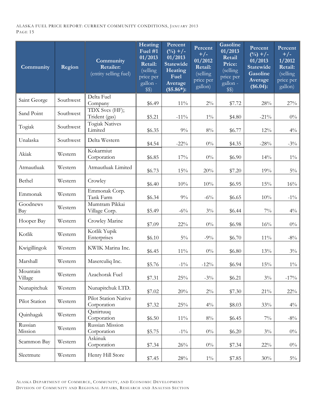| Community           | Region    | Community<br><b>Retailer:</b><br>(entity selling fuel) | Heating<br>Fuel $#1$<br>01/2013<br>Retail:<br>(selling<br>price per<br>gallon -<br>\$\$) | Percent<br>$(^{0}/_{0})$ +/-<br>01/2013<br><b>Statewide</b><br>Heating<br>Fuel<br>Average<br>$($5.86*)$ : | Percent<br>$+/-$<br>01/2012<br>Retail:<br>(selling<br>price per<br>gallon) | <b>Gasoline</b><br>01/2013<br>Retail<br>Price:<br>$\sqrt{\text{celling}}$<br>price per<br>gallon -<br>\$\$) | Percent<br>$(\sqrt[0]{0}) + \sqrt{-1}$<br>01/2013<br>Statewide<br><b>Gasoline</b><br>Average<br>(\$6.04): | Percent<br>$+/-$<br>1/2012<br>Retail:<br>(selling<br>price per<br>gallon) |
|---------------------|-----------|--------------------------------------------------------|------------------------------------------------------------------------------------------|-----------------------------------------------------------------------------------------------------------|----------------------------------------------------------------------------|-------------------------------------------------------------------------------------------------------------|-----------------------------------------------------------------------------------------------------------|---------------------------------------------------------------------------|
| Saint George        | Southwest | Delta Fuel<br>Company                                  | \$6.49                                                                                   | $11\%$                                                                                                    | $2\%$                                                                      | \$7.72                                                                                                      | $28\%$                                                                                                    | 27%                                                                       |
| Sand Point          | Southwest | TDX Svcs (HF);<br>Trident (gas)                        | \$5.21                                                                                   | $-11\%$                                                                                                   | $1\%$                                                                      | \$4.80                                                                                                      | $-21\%$                                                                                                   | $0\%$                                                                     |
| Togiak              | Southwest | <b>Togiak Natives</b><br>Limited                       | \$6.35                                                                                   | $9\%$                                                                                                     | $8\%$                                                                      | \$6.77                                                                                                      | 12%                                                                                                       | $4\%$                                                                     |
| Unalaska            | Southwest | Delta Western                                          | \$4.54                                                                                   | $-22\%$                                                                                                   | $0\%$                                                                      | \$4.35                                                                                                      | $-28%$                                                                                                    | $-3\%$                                                                    |
| Akiak               | Western   | Kokarmiut<br>Corporation                               | \$6.85                                                                                   | 17%                                                                                                       | $0\%$                                                                      | \$6.90                                                                                                      | $14\%$                                                                                                    | $1\%$                                                                     |
| Atmautluak          | Western   | Atmautluak Limited                                     | \$6.73                                                                                   | 15%                                                                                                       | 20%                                                                        | \$7.20                                                                                                      | 19%                                                                                                       | $5\%$                                                                     |
| Bethel              | Western   | Crowley                                                | \$6.40                                                                                   | 10%                                                                                                       | 10%                                                                        | \$6.95                                                                                                      | 15%                                                                                                       | 16%                                                                       |
| Emmonak             | Western   | Emmonak Corp.<br>Tank Farm                             | \$6.34                                                                                   | $9\%$                                                                                                     | $-6\%$                                                                     | \$6.65                                                                                                      | $10\%$                                                                                                    | $-1\%$                                                                    |
| Goodnews<br>Bay     | Western   | Mumtram Pikkai<br>Village Corp.                        | \$5.49                                                                                   | $-6\%$                                                                                                    | $3\%$                                                                      | \$6.44                                                                                                      | $7\%$                                                                                                     | $4\%$                                                                     |
| Hooper Bay          | Western   | Crowley Marine                                         | \$7.09                                                                                   | $22\%$                                                                                                    | $0\%$                                                                      | \$6.98                                                                                                      | 16%                                                                                                       | $0\%$                                                                     |
| Kotlik              | Western   | Kotlik Yupik<br>Enterprises                            | \$6.10                                                                                   | $5\%$                                                                                                     | $-9\%$                                                                     | \$6.70                                                                                                      | $11\%$                                                                                                    | $-8\%$                                                                    |
| Kwigillingok        | Western   | KWIK Marina Inc.                                       | \$6.45                                                                                   | $11\%$                                                                                                    | $0\%$                                                                      | \$6.80                                                                                                      | 13%                                                                                                       | $3\%$                                                                     |
| Marshall            | Western   | Maserculiq Inc.                                        | \$5.76                                                                                   | $-1\%$                                                                                                    | $-12%$                                                                     | \$6.94                                                                                                      | 15%                                                                                                       | $1\%$                                                                     |
| Mountain<br>Village | Western   | Azachorak Fuel                                         | \$7.31                                                                                   | 25%                                                                                                       | $-3\%$                                                                     | \$6.21                                                                                                      | $3\%$                                                                                                     | $-17\%$                                                                   |
| Nunapitchuk         | Western   | Nunapitchuk LTD.                                       | \$7.02                                                                                   | 20%                                                                                                       | $2\%$                                                                      | \$7.30                                                                                                      | $21\%$                                                                                                    | $22\%$                                                                    |
| Pilot Station       | Western   | Pilot Station Native<br>Corporation                    | \$7.32                                                                                   | 25%                                                                                                       | $4\%$                                                                      | \$8.03                                                                                                      | 33%                                                                                                       | $4\%$                                                                     |
| Quinhagak           | Western   | Qanirtuuq<br>Corporation                               | \$6.50                                                                                   | $11\%$                                                                                                    | $8\%$                                                                      | \$6.45                                                                                                      | $7\%$                                                                                                     | $-8\%$                                                                    |
| Russian<br>Mission  | Western   | Russian Mission<br>Corporation                         | \$5.75                                                                                   | $-1\%$                                                                                                    | $0\%$                                                                      | \$6.20                                                                                                      | $3\%$                                                                                                     | $0\%$                                                                     |
| Scammon Bay         | Western   | Askinuk<br>Corporation                                 | \$7.34                                                                                   | $26\%$                                                                                                    | $0\%$                                                                      | \$7.34                                                                                                      | $22\%$                                                                                                    | $0\%$                                                                     |
| Sleetmute           | Western   | Henry Hill Store                                       | \$7.45                                                                                   | $28\%$                                                                                                    | $1\%$                                                                      | \$7.85                                                                                                      | 30%                                                                                                       | $5\%$                                                                     |